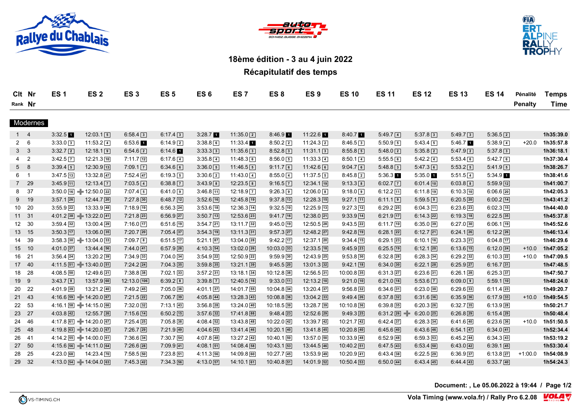





## **18ème édition - 3 au 4 juin 2022**

## **Récapitulatif des temps**

| Clt Nr  | <b>ES1</b> | ES <sub>2</sub> | ES <sub>3</sub> | ES <sub>5</sub> | ES <sub>6</sub> | ES <sub>7</sub> | ES 8 | ES <sub>9</sub> | <b>ES 10</b> | <b>ES 11</b> | <b>ES 12</b> | <b>ES 13</b> | <b>ES 14</b> | Pénalité       | <b>Temps</b> |
|---------|------------|-----------------|-----------------|-----------------|-----------------|-----------------|------|-----------------|--------------|--------------|--------------|--------------|--------------|----------------|--------------|
| Rank Nr |            |                 |                 |                 |                 |                 |      |                 |              |              |              |              |              | <b>Penalty</b> | Time         |

## Modernes

|                | -4                      | 3:32.5                               | $12:03.1$ 5            | $6:58.4$ 3           | $6:17.4$ 3    | $3:28.7$ 1    | $11:35.0$ 2               | $8:46.9$ 1              | $11:22.6$ 1             | $8:40.7$ 1       | $5:49.7$ 4           | $5:37.8$ 3           | $5:49.7$ 3    | $5:36.5$ 2    |           | 1h35:39.0 |
|----------------|-------------------------|--------------------------------------|------------------------|----------------------|---------------|---------------|---------------------------|-------------------------|-------------------------|------------------|----------------------|----------------------|---------------|---------------|-----------|-----------|
| $2\quad 6$     |                         | $3:33.0$ 3                           | $11:53.2$ 4            | $6:53.6$ 1           | $6:14.9$ 2    | $3:38.8$ 6    | $11:33.4$ 1               | $8:50.2$ 2              | $11:24.3$ 2             | $8:46.5$ 3       | $5:50.9$ 5           | $5:43.4$ 5           | $5:46.7$ 1    | $5:38.9$ 4    | $+20.0$   | 1h35:57.8 |
| 3 <sup>7</sup> | $\overline{\mathbf{3}}$ | $3:32.7$ 2                           | $12:18.1$ 9            | $6:54.6$ 2           | 6:14.6        | $3:33.3$ 3    | $11:35.6$ 3               | $8:52.8$ 3              | $11:31.1$ 3             | $8:55.8$ 5       | $5:48.0$ 2           | $5:35.8$ 2           | $5:47.9$ 2    | $5:37.8$ 3    |           | 1h36:18.1 |
| $4\quad 2$     |                         | $3:42.5 \, \vert \overline{7} \vert$ | $12:21.3$ 10           | $7:11.7$ [12]        | $6:17.6$ [4]  | $3:35.8$ 4    | $11:48.3$ 6               | 8:56.05                 | $11:33.3$ 4             | $8:50.1\sqrt{4}$ | $5:55.5$ 6           | $5:42.2$ 4           | $5:53.4$ 6    | $5:42.7$ 6    |           | 1h37:30.4 |
| 5              | 8                       | 3:39.45                              | $12:30.9$ $13$         | $7:09.1$ $\boxed{7}$ | $6:34.6$ 6    | $3:36.0$ 5    | $11:46.5$ 5               | $9:11.7$ 6              | $11:42.6$ 6             | $9:04.7$ 6       | $5:48.8$ 3           | $5:47.3$ 6           | $5:53.2$ 5    | $5:41.9$ 5    |           | 1h38:26.7 |
| 6 1            |                         | $3:47.5$ 13                          | $13:32.8$ 47           | $7:52.4$ 47          | 6:19.35       | $3:30.6$ 2    | $11:43.0$ [4]             | $8:55.0$ 4              | $11:37.5$ 5             | $8:45.8$ 2       | $5:36.3$ 1           | $5:35.0$ 1           | $5:51.5$ 4    | $5:34.9$ 1    |           | 1h38:41.6 |
| 7 29           |                         | $3:45.9$ 11                          | $12:13.4$ $\boxed{7}$  | $7:03.5$ 4           | $6:38.8$ 7    | $3:43.9$ 8    | $12:23.5$ <sup>8</sup>    | $9:16.5$ $\boxed{7}$    | $12:34.1$ [19]          | $9:13.3$ 8       | $6:02.7$ $\boxed{7}$ | $6:01.4$ 10          | $6:03.8$ 8    | $5:59.9$ [12] |           | 1h41:00.7 |
| 8              | 37                      | $3:50.0$ 16 $+$ 12:50.0 22           |                        | $7:07.4$ 5           | $6:41.0$ 9    | $3:46.8$ 11   | $12:18.9$ $\boxed{7}$     | $9:26.3$ 9              | $12:06.0$ 8             | $9:18.0$ 9       | $6:12.2$ 11          | $6:11.8$ 19          | $6:10.3$ 10   | $6:06.6$ 20   |           | 1h42:05.3 |
| 9              | 19                      | $3:57.1$ 26                          | $12:44.7$ $20$         | $7:27.8$ 30          | $6:48.7$ [12] | $3:52.6$ 16   | $12:45.8$ 19              | $9:37.8$ 13             | $12:28.3$ $15$          | $9:27.1$ [11]    | $6:11.1$ 9           | $5:59.5$ 9           | $6:20.5$ 20   | $6:00.2$ 14   |           | 1h43:41.2 |
| 10 20          |                         | $3:55.9$ 22                          | $13:33.9$ 48           | $7:18.9$ 19          | $6:56.3$ 24   | $3:53.6$ 18   | $12:36.3$ $\overline{14}$ | $9:32.5$ 10             | $12:25.9$ [13]          | $9:27.3$ 12      | $6:29.2$ 25          | $6:04.3$ 11          | $6:23.6$ 23   | $6:02.3$ 15   |           | 1h44:40.0 |
| 11 31          |                         | $4:01.2$ 38 $\rightarrow$ 13:22.0 41 |                        | $7:21.8$ 23          | $6:56.9$ 27   | $3:50.7$ 13   | $12:53.6$ 23              | $9:41.7$ 16             | $12:38.0$ 21            | $9:33.9$ 14      | $6:21.9$ 17          | $6:14.3$ 22          | $6:19.3$ 18   | $6:22.5$ 35   |           | 1h45:37.8 |
| 12 30          |                         | $3:59.4$ 32                          | $13:00.4$ 29           | $7:16.0$ 17          | $6:51.6$ [19] | $3:54.7$ 21   | $13:11.7$ 32              | $9:45.0$ 19             | $12:50.5$ <sup>28</sup> | $9:43.5$ $22$    | $6:11.7$ 10          | $6:35.0$ 39          | $6:27.0$ 30   | $6:06.1$ 19   |           | 1h45:52.6 |
| 13 15          |                         | $3:50.3$ 17                          | $13:06.0$ 35           | $7:20.7$ 20          | $7:05.4$ 37   | $3:54.3$ 19   | $13:11.3$ 31              | $9:57.3$ 27             | $12:48.2$ 27            | $9:42.8$ 19      | $6:28.1$ 22          | $6:12.7$ 21          | $6:24.1$ 26   | $6:12.2$ 26   |           | 1h46:13.4 |
| 14             | 39                      | $3:58.3$ 30 + 13:04.0 33             |                        | $7:09.7$ 8           | $6:51.5$ 17   | $5:21.1$ 87   | $13:04.0$ 28              | $9:42.2$ 17             | $12:37.1$ 20            | $9:34.4$ 15      | $6:29.1$ 23          | $6:10.1$ 16          | $6:23.3$ 21   | $6:04.8$ 17   |           | 1h46:29.6 |
| 15 10          |                         | $4:01.0$ 37                          | $13:44.4$ 56           | $7:44.0$ 41          | $6:57.9$ 28   | $4:10.3$ 54   | $13:02.0$ $26$            | $10:03.0$ 33            | $12:33.5$ 18            | $9:45.9$ 23      | $6:25.5$ 19          | $6:12.1$ 20          | $6:13.6$ [15] | $6:12.0$ 24   | $+10.0$   | 1h47:05.2 |
| 16 21          |                         | $3:56.4$ 24                          | $13:20.2$ 39           | $7:34.9$ 33          | $7:04.0$ 34   | $3:54.9$ 22   | $12:50.9$ 22              | $9:59.9$ 30             | $12:43.9$ 25            | $9:53.8$ 30      | $6:32.8$ 28          | $6:28.3$ 34          | $6:29.2$ 32   | $6:10.3$ 22   | $+10.0$   | 1h47:09.5 |
| 17 40          |                         | $4:11.5$ 51 $-$ 13:40.0 51           |                        | $7:24.2$ $24$        | $7:04.3$ 35   | $3:59.8$ 35   | $13:21.1$ 39              | $9:45.5$ 20             | $13:01.3$ 32            | $9:42.1$ 18      | $6:34.0$ 30          | $6:22.1$ 28          | $6:25.9$ 27   | $6:16.7$ 31   |           | 1h47:48.5 |
| 18 28          |                         | $4:08.5$ 50                          | $12:49.6$ 21           | $7:38.8$ 38          | $7:02.1$ 33   | $3:57.2$ 31   | $13:18.1$ 34              | $10:12.8$ <sub>38</sub> | $12:56.5$ 31            | $10:00.8$ 35     | $6:31.3$ 27          | $6:23.6$ 31          | $6:26.1$ 28   | $6:25.3$ 37   |           | 1h47:50.7 |
| 19 9           |                         | $3:43.7$ 9                           | $13:57.9$ 60           | $12:13.0$ $106$      | $6:39.2$ 8    | $3:39.8$ 7    | 12:40.5 16                | $9:33.0$ [11]           | $12:13.2$ 10            | $9:21.0$ 10      | $6:21.0$ 16          | $5:53.6$ $\boxed{7}$ | $6:09.0$ 9    | $5:59.1$ 10   |           | 1h48:24.0 |
| 20 22          |                         | $4:01.9$ 39                          | $13:21.2$ 40           | $7:49.2$ 45          | $7:05.0$ 36   | $4:01.1$ 37   | $14:01.7$ 55              | $10:04.8$ 34            | $13:20.4$ 37            | $9:56.8$ 32      | $6:34.6$ 31          | $6:23.0$ 30          | $6:29.6$ 33   | $6:11.4$ 23   |           | 1h49:20.7 |
| 21 43          |                         | $4:16.6$ 59 $-14:20.0$ 67            |                        | $7:21.5$ 22          | $7:06.7$ 39   | $4:05.8$ 44   | $13:28.3$ 43              | $10:08.8$ 36            | $13:04.2$ 33            | $9:49.4$ $26$    | $6:37.8$ 32          | $6:31.6$ 36          | $6:35.9$ 36   | $6:17.9$ 33   | $+10.0$   | 1h49:54.5 |
| 22 53          |                         | $4:16.1$ 58 $+14:15.0$ 66            |                        | $7:32.0$ 32          | $7:13.1$ 43   | $3:56.8$ $28$ | $13:24.0$ 40              | $10:18.5$ 39            | $13:28.7$ 39            | $10:10.8$ 36     | $6:39.8$ 35          | $6:20.3$ $26$        | $6:32.7$ 35   | $6:13.9$ 28   |           | 1h50:21.7 |
| 23 27          |                         | $4:03.8$ 42                          | $12:55.7$ $26$         | $7:15.6$ 14          | $6:50.2$ [15] | $3:57.6$ 32   | 17:41.8 88                | $9:48.4$ 23             | $12:52.6$ $29$          | $9:49.3$ $25$    | $6:31.2$ 26<br>-le-  | $6:20.0$ 25          | $6:26.8$ 29   | $6:15.4$ 29   |           | 1h50:48.4 |
| 24 46          |                         | $4:17.8$ 61 $+14:20.0$ 67            |                        | $7:25.4$ 25          | $7:05.8$ 38   | $4:08.4$ 52   | $13:43.8$ 48              | $10:22.0$ 42            | $13:39.7$ 42            | $10:21.7$ 42     | $6:42.4$ 37          | $6:28.3$ 34          | $6:41.6$ 40   | $6:23.6$ 36   | $+10.0$   | 1h51:50.5 |
| 25 48          |                         | $4:19.8$ 63 $+14:20.0$ 67            |                        | $7:26.7$ 29          | $7:21.9$ 49   | $4:04.6$ [43] | $13:41.4$ 46              | $10:20.1$ 40            | $13:41.8$ 45            | $10:20.8$ 40     | $6:45.6$ 40          | $6:43.6$ 46          | $6:54.1$ 47   | $6:34.0$ [41] |           | 1h52:34.4 |
| 26 41          |                         | $4:14.2$ 55 $+14:00.0$ 61            |                        | $7:36.6$ 34          | $7:30.7$ 54   | $4:07.8$ 48   | $13:27.2$ 42              | $10:40.1$ 50            | 13:57.0 50              | $10:33.9$ 48     | $6:52.9$ 48          | 6:59.353             | $6:45.2$ 44   | $6:34.3$ 43   |           | 1h53:19.2 |
| 27 50          |                         | $4:15.6$ 56 $-$ 14:11.0 64           |                        | $7:26.6$ 28          | $7:09.9$ 41   | $4:08.1$ 51   | $14:08.4$ 58              | $10:43.1$ 53            | $13:44.5$ 46            | $10:40.2$ 51     | $6:47.5$ [43]        | $6:53.4$ [50]        | $6:43.0$ $42$ | $6:39.1$ 45   |           | 1h53:30.4 |
| 28             | - 25                    | $4:23.0$ 68                          | $14:23.4$ $\boxed{70}$ | $7:58.5$ 50          | $7:23.8$ 51   | $4:11.3$ 56   | 14:09.8 60                | $10:27.7$ 45            | $13:53.9$ 49            | $10:20.9$ 41     | $6:43.4$ 38          | $6:22.5$ 29          | $6:36.9$ 37   | $6:13.8$ 27   | $+1:00.0$ | 1h54:08.9 |
| 29 32          |                         | $4:13.0$ 54 $-14:04.0$ 63            |                        | $7:45.3$ 42          | 7:34.356      | $4:13.0$ 57   | $14:10.1$ 61              | $10:40.8$ 51            | $14:01.9$ 52            | $10:50.4$ 53     | $6:50.0$ 44          | $6:43.4$ 45          | $6:44.4$ 43   | $6:33.7$ 40   |           | 1h54:24.3 |

**Document: , Le 05.06.2022 à 19:44 / Page 1/2**